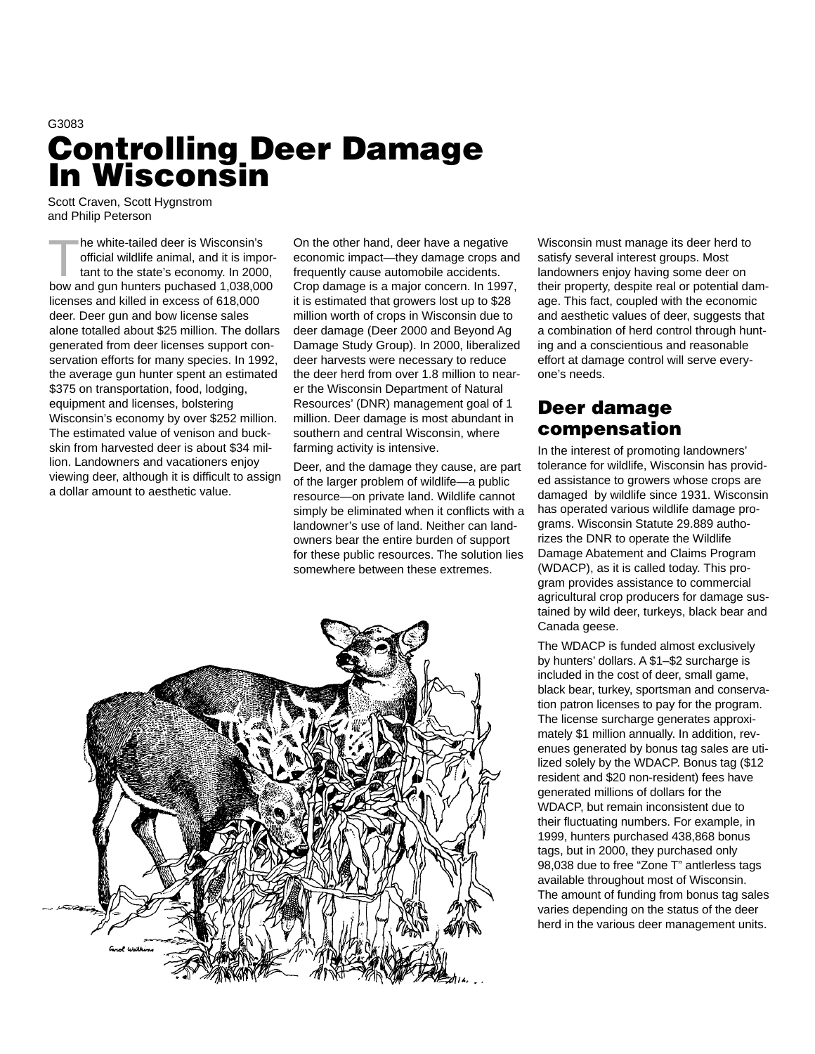# G3083 **Controlling Deer Damage In Wisconsin**

Scott Craven, Scott Hygnstrom and Philip Peterson

The white-tailed deer is Wisconsin's<br>
official wildlife animal, and it is important to the state's economy. In 2000,<br>
how and aun hunters puckaged 4,028,000 official wildlife animal, and it is imporbow and gun hunters puchased 1,038,000 licenses and killed in excess of 618,000 deer. Deer gun and bow license sales alone totalled about \$25 million. The dollars generated from deer licenses support conservation efforts for many species. In 1992, the average gun hunter spent an estimated \$375 on transportation, food, lodging, equipment and licenses, bolstering Wisconsin's economy by over \$252 million. The estimated value of venison and buckskin from harvested deer is about \$34 million. Landowners and vacationers enjoy viewing deer, although it is difficult to assign a dollar amount to aesthetic value.

On the other hand, deer have a negative economic impact—they damage crops and frequently cause automobile accidents. Crop damage is a major concern. In 1997, it is estimated that growers lost up to \$28 million worth of crops in Wisconsin due to deer damage (Deer 2000 and Beyond Ag Damage Study Group). In 2000, liberalized deer harvests were necessary to reduce the deer herd from over 1.8 million to nearer the Wisconsin Department of Natural Resources' (DNR) management goal of 1 million. Deer damage is most abundant in southern and central Wisconsin, where farming activity is intensive.

Deer, and the damage they cause, are part of the larger problem of wildlife—a public resource—on private land. Wildlife cannot simply be eliminated when it conflicts with a landowner's use of land. Neither can landowners bear the entire burden of support for these public resources. The solution lies somewhere between these extremes.

Wisconsin must manage its deer herd to satisfy several interest groups. Most landowners enjoy having some deer on their property, despite real or potential damage. This fact, coupled with the economic and aesthetic values of deer, suggests that a combination of herd control through hunting and a conscientious and reasonable effort at damage control will serve everyone's needs.

## **Deer damage compensation**

In the interest of promoting landowners' tolerance for wildlife, Wisconsin has provided assistance to growers whose crops are damaged by wildlife since 1931. Wisconsin has operated various wildlife damage programs. Wisconsin Statute 29.889 authorizes the DNR to operate the Wildlife Damage Abatement and Claims Program (WDACP), as it is called today. This program provides assistance to commercial agricultural crop producers for damage sustained by wild deer, turkeys, black bear and Canada geese.

The WDACP is funded almost exclusively by hunters' dollars. A \$1–\$2 surcharge is included in the cost of deer, small game, black bear, turkey, sportsman and conservation patron licenses to pay for the program. The license surcharge generates approximately \$1 million annually. In addition, revenues generated by bonus tag sales are utilized solely by the WDACP. Bonus tag (\$12 resident and \$20 non-resident) fees have generated millions of dollars for the WDACP, but remain inconsistent due to their fluctuating numbers. For example, in 1999, hunters purchased 438,868 bonus tags, but in 2000, they purchased only 98,038 due to free "Zone T" antlerless tags available throughout most of Wisconsin. The amount of funding from bonus tag sales varies depending on the status of the deer herd in the various deer management units.

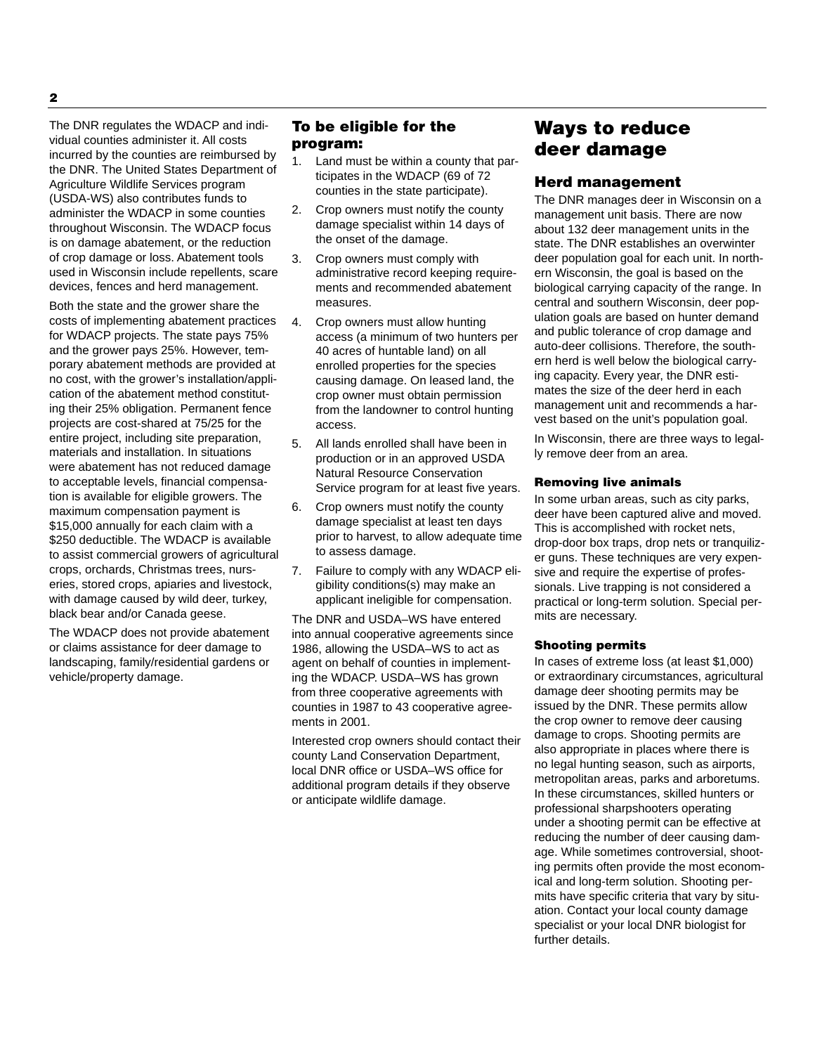The DNR regulates the WDACP and individual counties administer it. All costs incurred by the counties are reimbursed by the DNR. The United States Department of Agriculture Wildlife Services program (USDA-WS) also contributes funds to administer the WDACP in some counties throughout Wisconsin. The WDACP focus is on damage abatement, or the reduction of crop damage or loss. Abatement tools used in Wisconsin include repellents, scare devices, fences and herd management.

Both the state and the grower share the costs of implementing abatement practices for WDACP projects. The state pays 75% and the grower pays 25%. However, temporary abatement methods are provided at no cost, with the grower's installation/application of the abatement method constituting their 25% obligation. Permanent fence projects are cost-shared at 75/25 for the entire project, including site preparation, materials and installation. In situations were abatement has not reduced damage to acceptable levels, financial compensation is available for eligible growers. The maximum compensation payment is \$15,000 annually for each claim with a \$250 deductible. The WDACP is available to assist commercial growers of agricultural crops, orchards, Christmas trees, nurseries, stored crops, apiaries and livestock, with damage caused by wild deer, turkey, black bear and/or Canada geese.

The WDACP does not provide abatement or claims assistance for deer damage to landscaping, family/residential gardens or vehicle/property damage.

## **To be eligible for the program:**

- 1. Land must be within a county that participates in the WDACP (69 of 72 counties in the state participate).
- 2. Crop owners must notify the county damage specialist within 14 days of the onset of the damage.
- 3. Crop owners must comply with administrative record keeping requirements and recommended abatement measures.
- 4. Crop owners must allow hunting access (a minimum of two hunters per 40 acres of huntable land) on all enrolled properties for the species causing damage. On leased land, the crop owner must obtain permission from the landowner to control hunting access.
- 5. All lands enrolled shall have been in production or in an approved USDA Natural Resource Conservation Service program for at least five years.
- 6. Crop owners must notify the county damage specialist at least ten days prior to harvest, to allow adequate time to assess damage.
- 7. Failure to comply with any WDACP eligibility conditions(s) may make an applicant ineligible for compensation.

The DNR and USDA–WS have entered into annual cooperative agreements since 1986, allowing the USDA–WS to act as agent on behalf of counties in implementing the WDACP. USDA–WS has grown from three cooperative agreements with counties in 1987 to 43 cooperative agreements in 2001.

Interested crop owners should contact their county Land Conservation Department, local DNR office or USDA–WS office for additional program details if they observe or anticipate wildlife damage.

## **Ways to reduce deer damage**

## **Herd management**

The DNR manages deer in Wisconsin on a management unit basis. There are now about 132 deer management units in the state. The DNR establishes an overwinter deer population goal for each unit. In northern Wisconsin, the goal is based on the biological carrying capacity of the range. In central and southern Wisconsin, deer population goals are based on hunter demand and public tolerance of crop damage and auto-deer collisions. Therefore, the southern herd is well below the biological carrying capacity. Every year, the DNR estimates the size of the deer herd in each management unit and recommends a harvest based on the unit's population goal.

In Wisconsin, there are three ways to legally remove deer from an area.

## **Removing live animals**

In some urban areas, such as city parks, deer have been captured alive and moved. This is accomplished with rocket nets, drop-door box traps, drop nets or tranquilizer guns. These techniques are very expensive and require the expertise of professionals. Live trapping is not considered a practical or long-term solution. Special permits are necessary.

## **Shooting permits**

In cases of extreme loss (at least \$1,000) or extraordinary circumstances, agricultural damage deer shooting permits may be issued by the DNR. These permits allow the crop owner to remove deer causing damage to crops. Shooting permits are also appropriate in places where there is no legal hunting season, such as airports, metropolitan areas, parks and arboretums. In these circumstances, skilled hunters or professional sharpshooters operating under a shooting permit can be effective at reducing the number of deer causing damage. While sometimes controversial, shooting permits often provide the most economical and long-term solution. Shooting permits have specific criteria that vary by situation. Contact your local county damage specialist or your local DNR biologist for further details.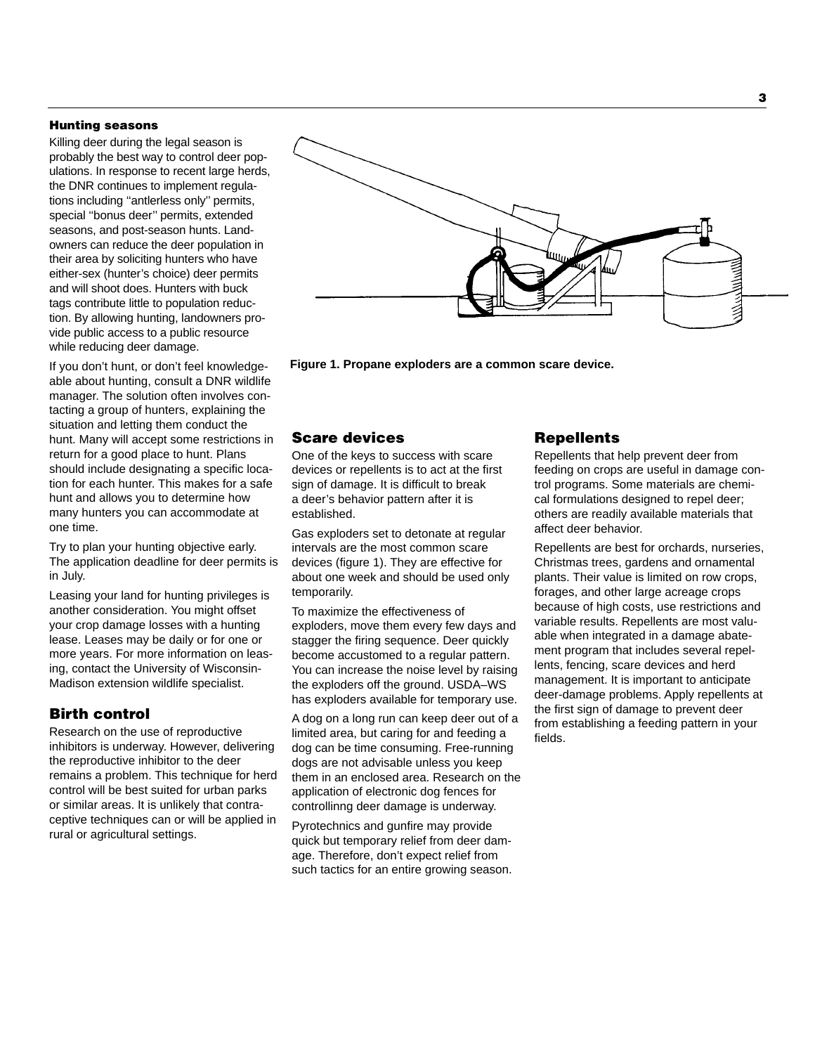#### **Hunting seasons**

Killing deer during the legal season is probably the best way to control deer populations. In response to recent large herds, the DNR continues to implement regulations including ''antlerless only'' permits, special ''bonus deer'' permits, extended seasons, and post-season hunts. Landowners can reduce the deer population in their area by soliciting hunters who have either-sex (hunter's choice) deer permits and will shoot does. Hunters with buck tags contribute little to population reduction. By allowing hunting, landowners provide public access to a public resource while reducing deer damage.

If you don't hunt, or don't feel knowledgeable about hunting, consult a DNR wildlife manager. The solution often involves contacting a group of hunters, explaining the situation and letting them conduct the hunt. Many will accept some restrictions in return for a good place to hunt. Plans should include designating a specific location for each hunter. This makes for a safe hunt and allows you to determine how many hunters you can accommodate at one time.

Try to plan your hunting objective early. The application deadline for deer permits is in July.

Leasing your land for hunting privileges is another consideration. You might offset your crop damage losses with a hunting lease. Leases may be daily or for one or more years. For more information on leasing, contact the University of Wisconsin-Madison extension wildlife specialist.

## **Birth control**

Research on the use of reproductive inhibitors is underway. However, delivering the reproductive inhibitor to the deer remains a problem. This technique for herd control will be best suited for urban parks or similar areas. It is unlikely that contraceptive techniques can or will be applied in rural or agricultural settings.



**Figure 1. Propane exploders are a common scare device.**

## **Scare devices**

One of the keys to success with scare devices or repellents is to act at the first sign of damage. It is difficult to break a deer's behavior pattern after it is established.

Gas exploders set to detonate at regular intervals are the most common scare devices (figure 1). They are effective for about one week and should be used only temporarily.

To maximize the effectiveness of exploders, move them every few days and stagger the firing sequence. Deer quickly become accustomed to a regular pattern. You can increase the noise level by raising the exploders off the ground. USDA–WS has exploders available for temporary use.

A dog on a long run can keep deer out of a limited area, but caring for and feeding a dog can be time consuming. Free-running dogs are not advisable unless you keep them in an enclosed area. Research on the application of electronic dog fences for controllinng deer damage is underway.

Pyrotechnics and gunfire may provide quick but temporary relief from deer damage. Therefore, don't expect relief from such tactics for an entire growing season.

## **Repellents**

Repellents that help prevent deer from feeding on crops are useful in damage control programs. Some materials are chemical formulations designed to repel deer; others are readily available materials that affect deer behavior.

Repellents are best for orchards, nurseries, Christmas trees, gardens and ornamental plants. Their value is limited on row crops, forages, and other large acreage crops because of high costs, use restrictions and variable results. Repellents are most valuable when integrated in a damage abatement program that includes several repellents, fencing, scare devices and herd management. It is important to anticipate deer-damage problems. Apply repellents at the first sign of damage to prevent deer from establishing a feeding pattern in your fields.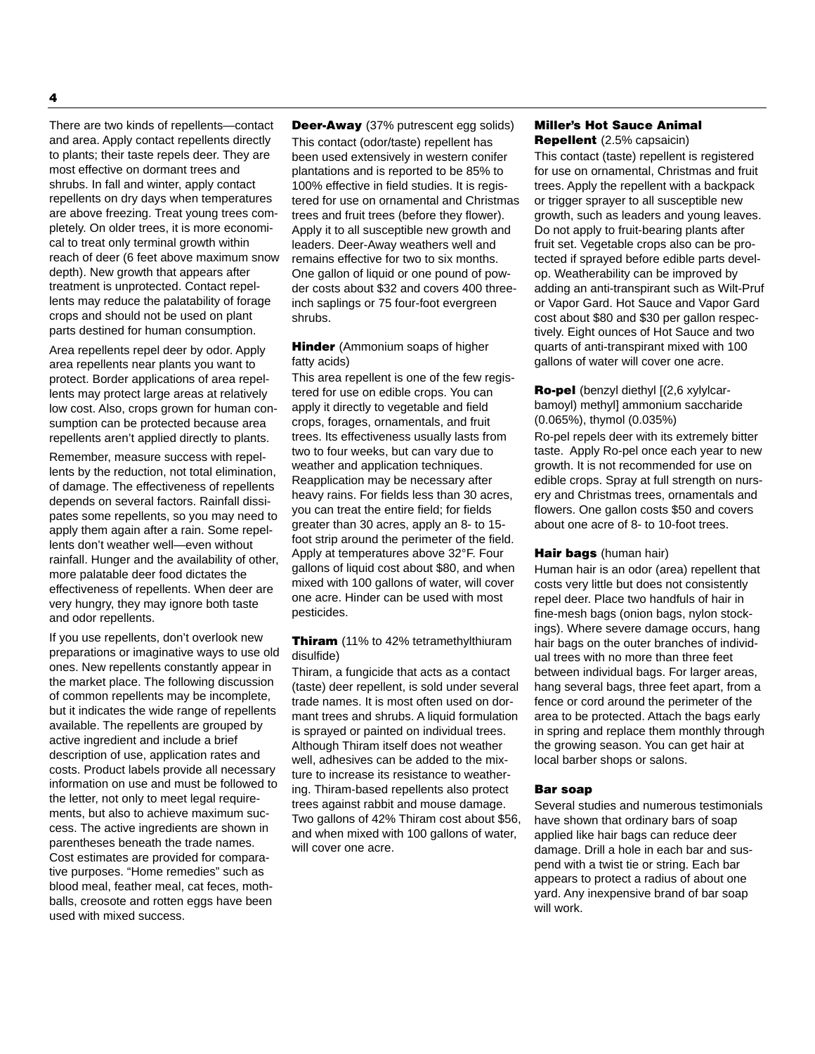There are two kinds of repellents—contact and area. Apply contact repellents directly to plants; their taste repels deer. They are most effective on dormant trees and shrubs. In fall and winter, apply contact repellents on dry days when temperatures are above freezing. Treat young trees completely. On older trees, it is more economical to treat only terminal growth within reach of deer (6 feet above maximum snow depth). New growth that appears after treatment is unprotected. Contact repellents may reduce the palatability of forage crops and should not be used on plant parts destined for human consumption.

Area repellents repel deer by odor. Apply area repellents near plants you want to protect. Border applications of area repellents may protect large areas at relatively low cost. Also, crops grown for human consumption can be protected because area repellents aren't applied directly to plants.

Remember, measure success with repellents by the reduction, not total elimination, of damage. The effectiveness of repellents depends on several factors. Rainfall dissipates some repellents, so you may need to apply them again after a rain. Some repellents don't weather well—even without rainfall. Hunger and the availability of other, more palatable deer food dictates the effectiveness of repellents. When deer are very hungry, they may ignore both taste and odor repellents.

If you use repellents, don't overlook new preparations or imaginative ways to use old ones. New repellents constantly appear in the market place. The following discussion of common repellents may be incomplete, but it indicates the wide range of repellents available. The repellents are grouped by active ingredient and include a brief description of use, application rates and costs. Product labels provide all necessary information on use and must be followed to the letter, not only to meet legal requirements, but also to achieve maximum success. The active ingredients are shown in parentheses beneath the trade names. Cost estimates are provided for comparative purposes. "Home remedies" such as blood meal, feather meal, cat feces, mothballs, creosote and rotten eggs have been used with mixed success.

**Deer-Away** (37% putrescent egg solids) This contact (odor/taste) repellent has been used extensively in western conifer plantations and is reported to be 85% to 100% effective in field studies. It is registered for use on ornamental and Christmas trees and fruit trees (before they flower). Apply it to all susceptible new growth and leaders. Deer-Away weathers well and remains effective for two to six months. One gallon of liquid or one pound of powder costs about \$32 and covers 400 threeinch saplings or 75 four-foot evergreen shrubs.

**Hinder** (Ammonium soaps of higher fatty acids)

This area repellent is one of the few registered for use on edible crops. You can apply it directly to vegetable and field crops, forages, ornamentals, and fruit trees. Its effectiveness usually lasts from two to four weeks, but can vary due to weather and application techniques. Reapplication may be necessary after heavy rains. For fields less than 30 acres, you can treat the entire field; for fields greater than 30 acres, apply an 8- to 15 foot strip around the perimeter of the field. Apply at temperatures above 32°F. Four gallons of liquid cost about \$80, and when mixed with 100 gallons of water, will cover one acre. Hinder can be used with most pesticides.

**Thiram** (11% to 42% tetramethylthiuram disulfide)

Thiram, a fungicide that acts as a contact (taste) deer repellent, is sold under several trade names. It is most often used on dormant trees and shrubs. A liquid formulation is sprayed or painted on individual trees. Although Thiram itself does not weather well, adhesives can be added to the mixture to increase its resistance to weathering. Thiram-based repellents also protect trees against rabbit and mouse damage. Two gallons of 42% Thiram cost about \$56, and when mixed with 100 gallons of water, will cover one acre.

#### **Miller's Hot Sauce Animal Repellent** (2.5% capsaicin)

This contact (taste) repellent is registered for use on ornamental, Christmas and fruit trees. Apply the repellent with a backpack or trigger sprayer to all susceptible new growth, such as leaders and young leaves. Do not apply to fruit-bearing plants after fruit set. Vegetable crops also can be protected if sprayed before edible parts develop. Weatherability can be improved by adding an anti-transpirant such as Wilt-Pruf or Vapor Gard. Hot Sauce and Vapor Gard cost about \$80 and \$30 per gallon respectively. Eight ounces of Hot Sauce and two quarts of anti-transpirant mixed with 100 gallons of water will cover one acre.

### **Ro-pel** (benzyl diethyl [(2,6 xylylcarbamoyl) methyl] ammonium saccharide (0.065%), thymol (0.035%)

Ro-pel repels deer with its extremely bitter taste. Apply Ro-pel once each year to new growth. It is not recommended for use on edible crops. Spray at full strength on nursery and Christmas trees, ornamentals and flowers. One gallon costs \$50 and covers about one acre of 8- to 10-foot trees.

#### **Hair bags** (human hair)

Human hair is an odor (area) repellent that costs very little but does not consistently repel deer. Place two handfuls of hair in fine-mesh bags (onion bags, nylon stockings). Where severe damage occurs, hang hair bags on the outer branches of individual trees with no more than three feet between individual bags. For larger areas, hang several bags, three feet apart, from a fence or cord around the perimeter of the area to be protected. Attach the bags early in spring and replace them monthly through the growing season. You can get hair at local barber shops or salons.

#### **Bar soap**

Several studies and numerous testimonials have shown that ordinary bars of soap applied like hair bags can reduce deer damage. Drill a hole in each bar and suspend with a twist tie or string. Each bar appears to protect a radius of about one yard. Any inexpensive brand of bar soap will work.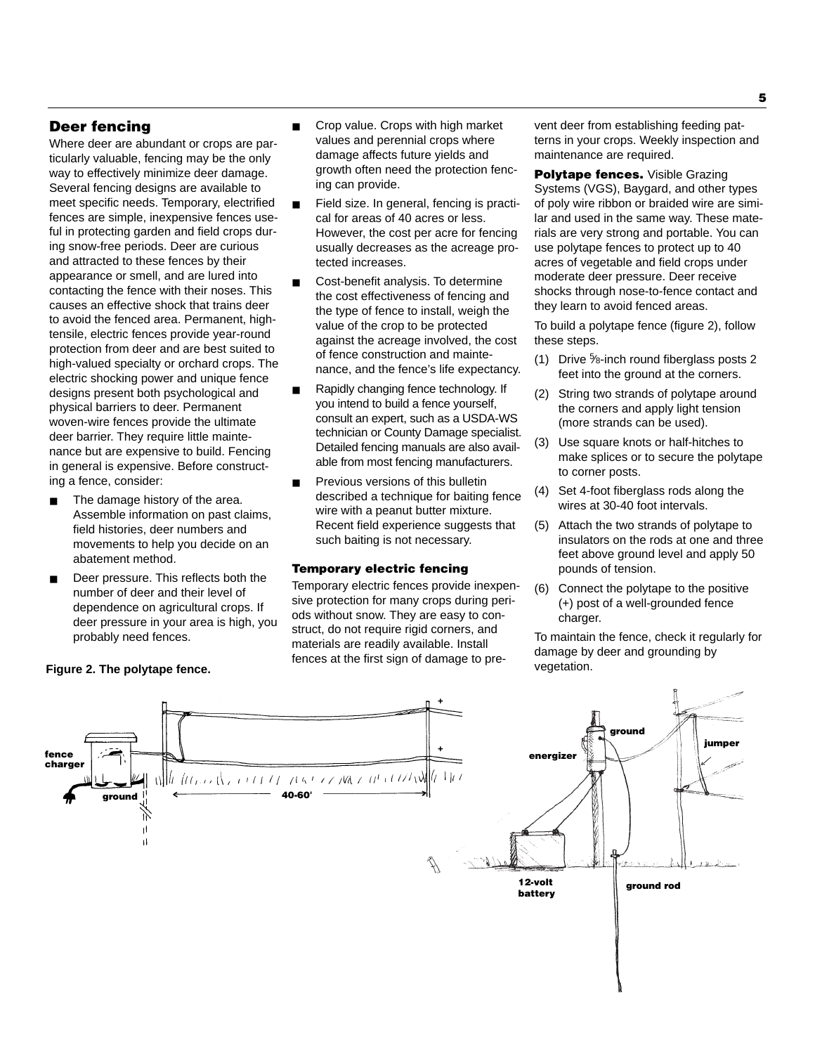## **Deer fencing**

Where deer are abundant or crops are particularly valuable, fencing may be the only way to effectively minimize deer damage. Several fencing designs are available to meet specific needs. Temporary, electrified fences are simple, inexpensive fences useful in protecting garden and field crops during snow-free periods. Deer are curious and attracted to these fences by their appearance or smell, and are lured into contacting the fence with their noses. This causes an effective shock that trains deer to avoid the fenced area. Permanent, hightensile, electric fences provide year-round protection from deer and are best suited to high-valued specialty or orchard crops. The electric shocking power and unique fence designs present both psychological and physical barriers to deer. Permanent woven-wire fences provide the ultimate deer barrier. They require little maintenance but are expensive to build. Fencing in general is expensive. Before constructing a fence, consider:

- The damage history of the area. Assemble information on past claims, field histories, deer numbers and movements to help you decide on an abatement method.
- Deer pressure. This reflects both the number of deer and their level of dependence on agricultural crops. If deer pressure in your area is high, you probably need fences.
- Crop value. Crops with high market values and perennial crops where damage affects future yields and growth often need the protection fencing can provide.
- Field size. In general, fencing is practical for areas of 40 acres or less. However, the cost per acre for fencing usually decreases as the acreage protected increases.
- Cost-benefit analysis. To determine the cost effectiveness of fencing and the type of fence to install, weigh the value of the crop to be protected against the acreage involved, the cost of fence construction and maintenance, and the fence's life expectancy.
- Rapidly changing fence technology. If you intend to build a fence yourself, consult an expert, such as a USDA-WS technician or County Damage specialist. Detailed fencing manuals are also available from most fencing manufacturers.
- Previous versions of this bulletin described a technique for baiting fence wire with a peanut butter mixture. Recent field experience suggests that such baiting is not necessary.

### **Temporary electric fencing**

Temporary electric fences provide inexpensive protection for many crops during periods without snow. They are easy to construct, do not require rigid corners, and materials are readily available. Install fences at the first sign of damage to prevent deer from establishing feeding patterns in your crops. Weekly inspection and maintenance are required.

**Polytape fences.** Visible Grazing Systems (VGS), Baygard, and other types of poly wire ribbon or braided wire are similar and used in the same way. These materials are very strong and portable. You can use polytape fences to protect up to 40 acres of vegetable and field crops under moderate deer pressure. Deer receive shocks through nose-to-fence contact and they learn to avoid fenced areas.

To build a polytape fence (figure 2), follow these steps.

- (1) Drive 5 ⁄8-inch round fiberglass posts 2 feet into the ground at the corners.
- (2) String two strands of polytape around the corners and apply light tension (more strands can be used).
- (3) Use square knots or half-hitches to make splices or to secure the polytape to corner posts.
- (4) Set 4-foot fiberglass rods along the wires at 30-40 foot intervals.
- (5) Attach the two strands of polytape to insulators on the rods at one and three feet above ground level and apply 50 pounds of tension.
- (6) Connect the polytape to the positive (+) post of a well-grounded fence charger.

To maintain the fence, check it regularly for damage by deer and grounding by vegetation.



#### **Figure 2. The polytape fence.**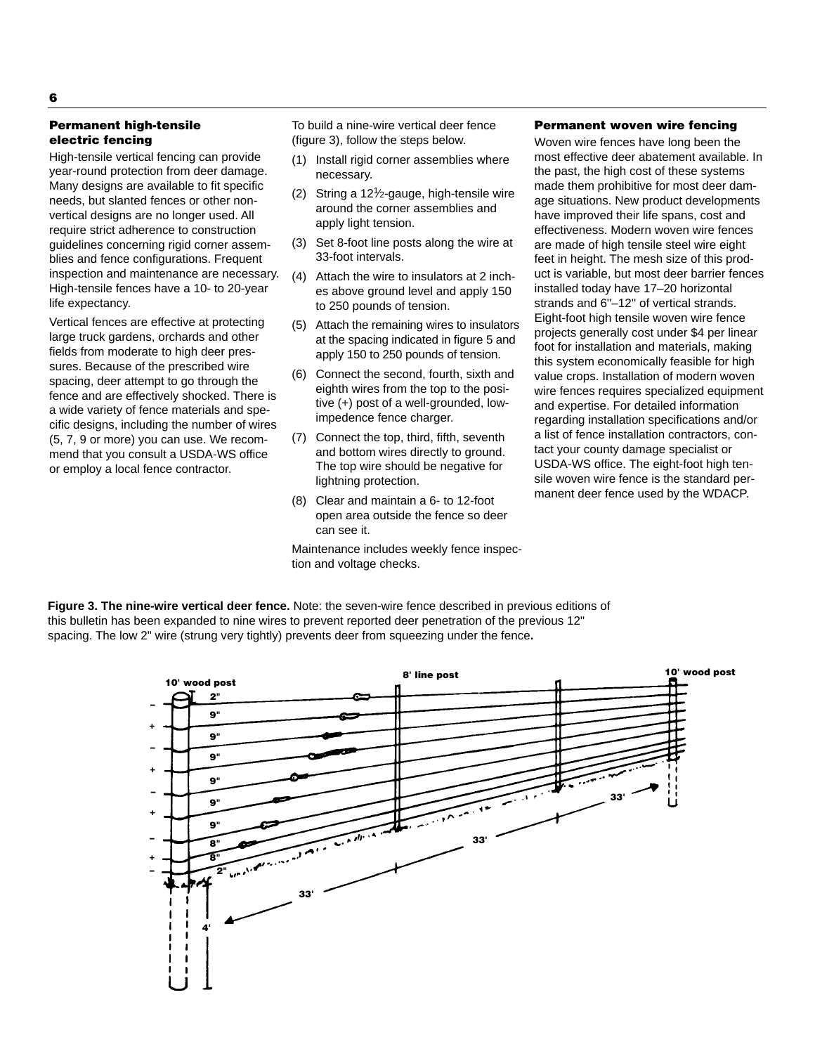## **Permanent high-tensile electric fencing**

High-tensile vertical fencing can provide year-round protection from deer damage. Many designs are available to fit specific needs, but slanted fences or other nonvertical designs are no longer used. All require strict adherence to construction guidelines concerning rigid corner assemblies and fence configurations. Frequent inspection and maintenance are necessary. High-tensile fences have a 10- to 20-year life expectancy.

Vertical fences are effective at protecting large truck gardens, orchards and other fields from moderate to high deer pressures. Because of the prescribed wire spacing, deer attempt to go through the fence and are effectively shocked. There is a wide variety of fence materials and specific designs, including the number of wires (5, 7, 9 or more) you can use. We recommend that you consult a USDA-WS office or employ a local fence contractor.

To build a nine-wire vertical deer fence (figure 3), follow the steps below.

- (1) Install rigid corner assemblies where necessary.
- (2) String a 121 ⁄2-gauge, high-tensile wire around the corner assemblies and apply light tension.
- (3) Set 8-foot line posts along the wire at 33-foot intervals.
- (4) Attach the wire to insulators at 2 inches above ground level and apply 150 to 250 pounds of tension.
- (5) Attach the remaining wires to insulators at the spacing indicated in figure 5 and apply 150 to 250 pounds of tension.
- (6) Connect the second, fourth, sixth and eighth wires from the top to the positive (+) post of a well-grounded, lowimpedence fence charger.
- (7) Connect the top, third, fifth, seventh and bottom wires directly to ground. The top wire should be negative for lightning protection.
- (8) Clear and maintain a 6- to 12-foot open area outside the fence so deer can see it.

Maintenance includes weekly fence inspection and voltage checks.

### **Permanent woven wire fencing**

Woven wire fences have long been the most effective deer abatement available. In the past, the high cost of these systems made them prohibitive for most deer damage situations. New product developments have improved their life spans, cost and effectiveness. Modern woven wire fences are made of high tensile steel wire eight feet in height. The mesh size of this product is variable, but most deer barrier fences installed today have 17–20 horizontal strands and 6''–12'' of vertical strands. Eight-foot high tensile woven wire fence projects generally cost under \$4 per linear foot for installation and materials, making this system economically feasible for high value crops. Installation of modern woven wire fences requires specialized equipment and expertise. For detailed information regarding installation specifications and/or a list of fence installation contractors, contact your county damage specialist or USDA-WS office. The eight-foot high tensile woven wire fence is the standard permanent deer fence used by the WDACP.

**Figure 3. The nine-wire vertical deer fence.** Note: the seven-wire fence described in previous editions of this bulletin has been expanded to nine wires to prevent reported deer penetration of the previous 12" spacing. The low 2" wire (strung very tightly) prevents deer from squeezing under the fence**.**



#### **6**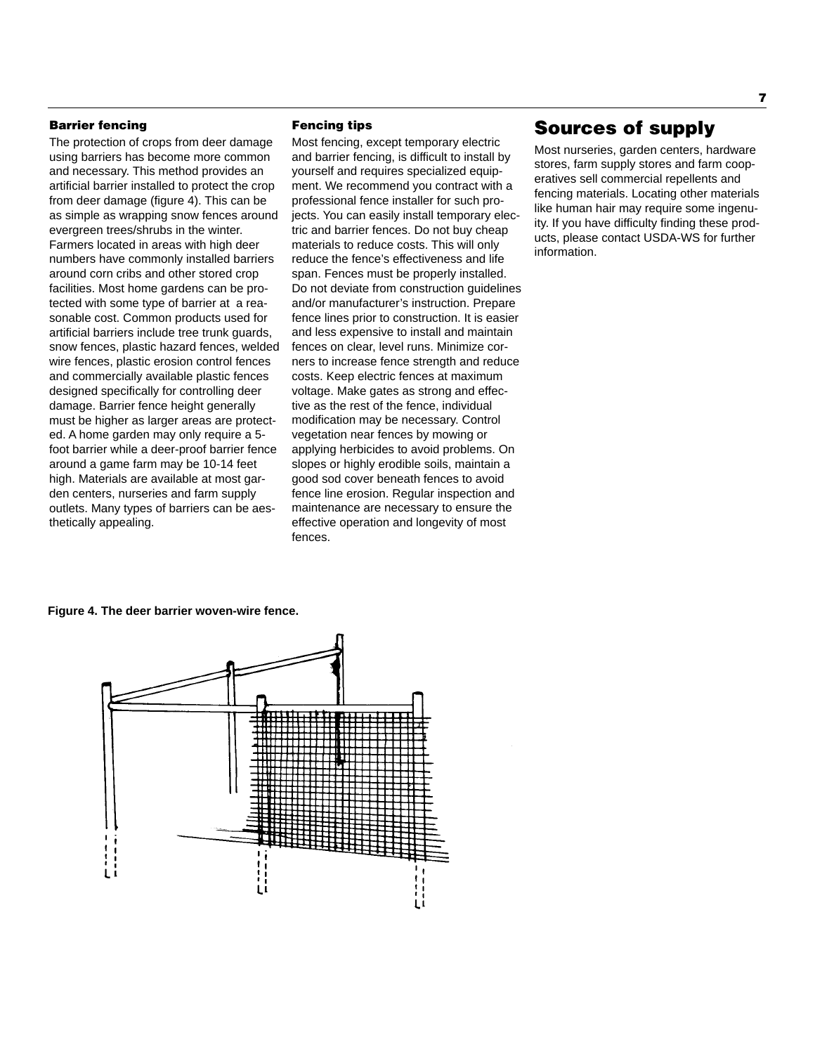### **Barrier fencing**

The protection of crops from deer damage using barriers has become more common and necessary. This method provides an artificial barrier installed to protect the crop from deer damage (figure 4). This can be as simple as wrapping snow fences around evergreen trees/shrubs in the winter. Farmers located in areas with high deer numbers have commonly installed barriers around corn cribs and other stored crop facilities. Most home gardens can be protected with some type of barrier at a reasonable cost. Common products used for artificial barriers include tree trunk guards, snow fences, plastic hazard fences, welded wire fences, plastic erosion control fences and commercially available plastic fences designed specifically for controlling deer damage. Barrier fence height generally must be higher as larger areas are protected. A home garden may only require a 5 foot barrier while a deer-proof barrier fence around a game farm may be 10-14 feet high. Materials are available at most garden centers, nurseries and farm supply outlets. Many types of barriers can be aesthetically appealing.

### **Fencing tips**

Most fencing, except temporary electric and barrier fencing, is difficult to install by yourself and requires specialized equipment. We recommend you contract with a professional fence installer for such projects. You can easily install temporary electric and barrier fences. Do not buy cheap materials to reduce costs. This will only reduce the fence's effectiveness and life span. Fences must be properly installed. Do not deviate from construction guidelines and/or manufacturer's instruction. Prepare fence lines prior to construction. It is easier and less expensive to install and maintain fences on clear, level runs. Minimize corners to increase fence strength and reduce costs. Keep electric fences at maximum voltage. Make gates as strong and effective as the rest of the fence, individual modification may be necessary. Control vegetation near fences by mowing or applying herbicides to avoid problems. On slopes or highly erodible soils, maintain a good sod cover beneath fences to avoid fence line erosion. Regular inspection and maintenance are necessary to ensure the effective operation and longevity of most fences.

## **Sources of supply**

Most nurseries, garden centers, hardware stores, farm supply stores and farm cooperatives sell commercial repellents and fencing materials. Locating other materials like human hair may require some ingenuity. If you have difficulty finding these products, please contact USDA-WS for further information.

#### **Figure 4. The deer barrier woven-wire fence.**